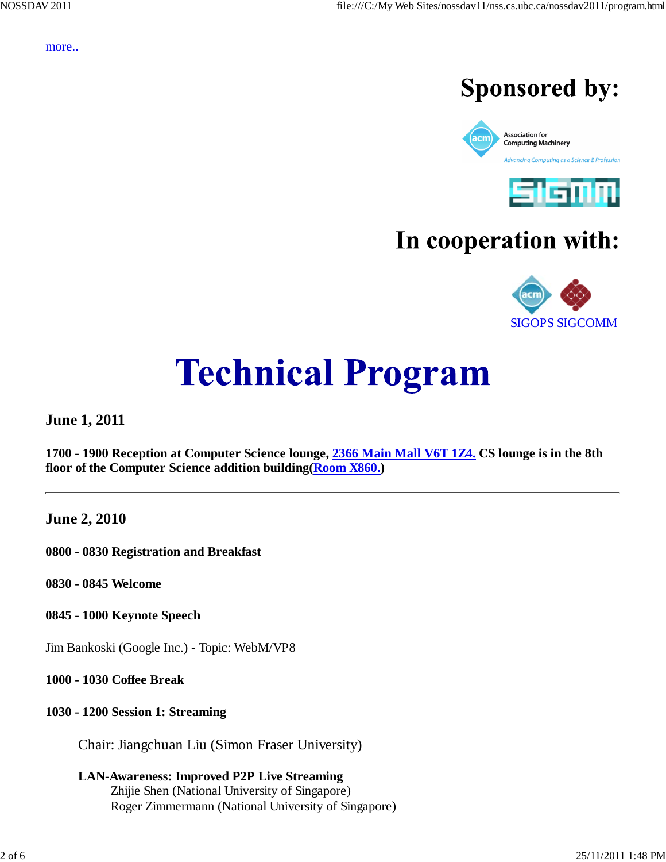more..

# **Sponsored by:**





# In cooperation with:



# **Technical Program**

**June 1, 2011**

**1700 - 1900 Reception at Computer Science lounge, 2366 Main Mall V6T 1Z4. CS lounge is in the 8th floor of the Computer Science addition building(Room X860.)**

**June 2, 2010**

**0800 - 0830 Registration and Breakfast**

**0830 - 0845 Welcome**

**0845 - 1000 Keynote Speech**

Jim Bankoski (Google Inc.) - Topic: WebM/VP8

**1000 - 1030 Coffee Break**

# **1030 - 1200 Session 1: Streaming**

Chair: Jiangchuan Liu (Simon Fraser University)

**LAN-Awareness: Improved P2P Live Streaming** Zhijie Shen (National University of Singapore) Roger Zimmermann (National University of Singapore)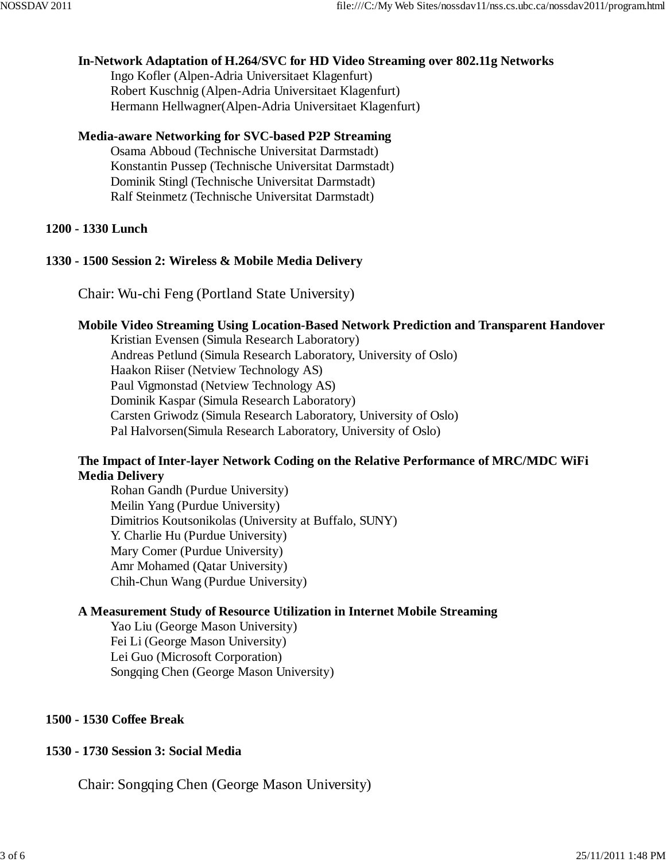#### **In-Network Adaptation of H.264/SVC for HD Video Streaming over 802.11g Networks**

Ingo Kofler (Alpen-Adria Universitaet Klagenfurt) Robert Kuschnig (Alpen-Adria Universitaet Klagenfurt) Hermann Hellwagner(Alpen-Adria Universitaet Klagenfurt)

#### **Media-aware Networking for SVC-based P2P Streaming**

Osama Abboud (Technische Universitat Darmstadt) Konstantin Pussep (Technische Universitat Darmstadt) Dominik Stingl (Technische Universitat Darmstadt) Ralf Steinmetz (Technische Universitat Darmstadt)

#### **1200 - 1330 Lunch**

#### **1330 - 1500 Session 2: Wireless & Mobile Media Delivery**

Chair: Wu-chi Feng (Portland State University)

#### **Mobile Video Streaming Using Location-Based Network Prediction and Transparent Handover**

Kristian Evensen (Simula Research Laboratory) Andreas Petlund (Simula Research Laboratory, University of Oslo) Haakon Riiser (Netview Technology AS) Paul Vigmonstad (Netview Technology AS) Dominik Kaspar (Simula Research Laboratory) Carsten Griwodz (Simula Research Laboratory, University of Oslo) Pal Halvorsen(Simula Research Laboratory, University of Oslo)

#### **The Impact of Inter-layer Network Coding on the Relative Performance of MRC/MDC WiFi Media Delivery**

Rohan Gandh (Purdue University) Meilin Yang (Purdue University) Dimitrios Koutsonikolas (University at Buffalo, SUNY) Y. Charlie Hu (Purdue University) Mary Comer (Purdue University) Amr Mohamed (Qatar University) Chih-Chun Wang (Purdue University)

#### **A Measurement Study of Resource Utilization in Internet Mobile Streaming**

Yao Liu (George Mason University) Fei Li (George Mason University) Lei Guo (Microsoft Corporation) Songqing Chen (George Mason University)

#### **1500 - 1530 Coffee Break**

#### **1530 - 1730 Session 3: Social Media**

Chair: Songqing Chen (George Mason University)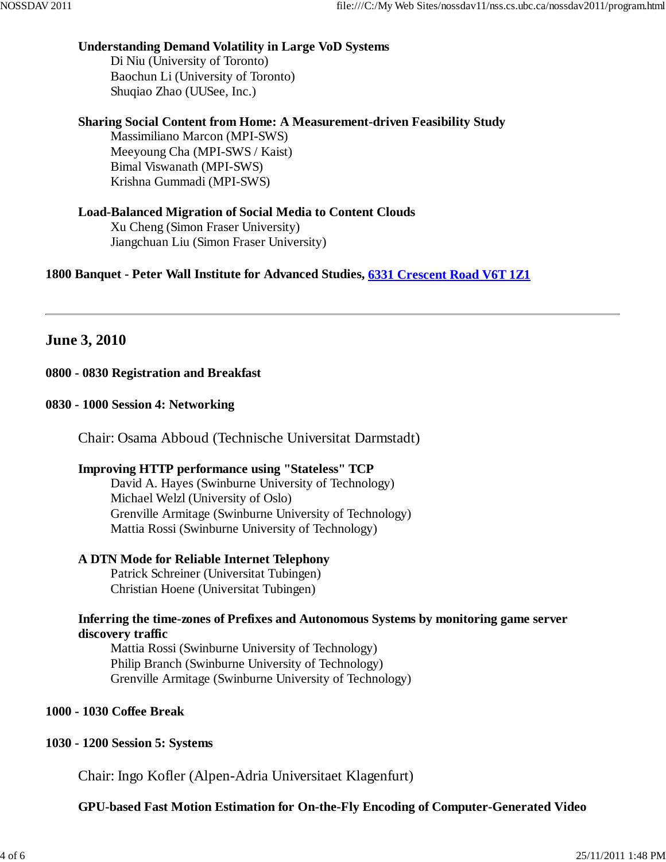#### **Understanding Demand Volatility in Large VoD Systems**

Di Niu (University of Toronto) Baochun Li (University of Toronto) Shuqiao Zhao (UUSee, Inc.)

# **Sharing Social Content from Home: A Measurement-driven Feasibility Study**

Massimiliano Marcon (MPI-SWS) Meeyoung Cha (MPI-SWS / Kaist) Bimal Viswanath (MPI-SWS) Krishna Gummadi (MPI-SWS)

# **Load-Balanced Migration of Social Media to Content Clouds**

Xu Cheng (Simon Fraser University) Jiangchuan Liu (Simon Fraser University)

**1800 Banquet - Peter Wall Institute for Advanced Studies, 6331 Crescent Road V6T 1Z1**

# **June 3, 2010**

# **0800 - 0830 Registration and Breakfast**

#### **0830 - 1000 Session 4: Networking**

Chair: Osama Abboud (Technische Universitat Darmstadt)

# **Improving HTTP performance using "Stateless" TCP**

David A. Hayes (Swinburne University of Technology) Michael Welzl (University of Oslo) Grenville Armitage (Swinburne University of Technology) Mattia Rossi (Swinburne University of Technology)

#### **A DTN Mode for Reliable Internet Telephony**

Patrick Schreiner (Universitat Tubingen) Christian Hoene (Universitat Tubingen)

# **Inferring the time-zones of Prefixes and Autonomous Systems by monitoring game server discovery traffic**

Mattia Rossi (Swinburne University of Technology) Philip Branch (Swinburne University of Technology) Grenville Armitage (Swinburne University of Technology)

#### **1000 - 1030 Coffee Break**

# **1030 - 1200 Session 5: Systems**

Chair: Ingo Kofler (Alpen-Adria Universitaet Klagenfurt)

**GPU-based Fast Motion Estimation for On-the-Fly Encoding of Computer-Generated Video**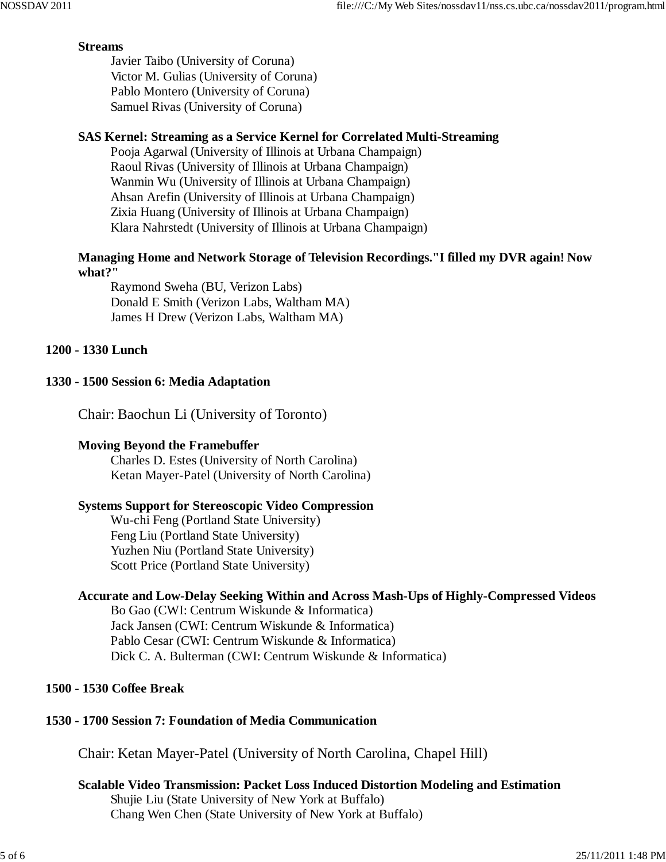# **Streams**

Javier Taibo (University of Coruna) Victor M. Gulias (University of Coruna) Pablo Montero (University of Coruna) Samuel Rivas (University of Coruna)

# **SAS Kernel: Streaming as a Service Kernel for Correlated Multi-Streaming**

Pooja Agarwal (University of Illinois at Urbana Champaign) Raoul Rivas (University of Illinois at Urbana Champaign) Wanmin Wu (University of Illinois at Urbana Champaign) Ahsan Arefin (University of Illinois at Urbana Champaign) Zixia Huang (University of Illinois at Urbana Champaign) Klara Nahrstedt (University of Illinois at Urbana Champaign)

# **Managing Home and Network Storage of Television Recordings."I filled my DVR again! Now what?"**

Raymond Sweha (BU, Verizon Labs) Donald E Smith (Verizon Labs, Waltham MA) James H Drew (Verizon Labs, Waltham MA)

# **1200 - 1330 Lunch**

# **1330 - 1500 Session 6: Media Adaptation**

Chair: Baochun Li (University of Toronto)

# **Moving Beyond the Framebuffer**

Charles D. Estes (University of North Carolina) Ketan Mayer-Patel (University of North Carolina)

# **Systems Support for Stereoscopic Video Compression**

Wu-chi Feng (Portland State University) Feng Liu (Portland State University) Yuzhen Niu (Portland State University) Scott Price (Portland State University)

# **Accurate and Low-Delay Seeking Within and Across Mash-Ups of Highly-Compressed Videos**

Bo Gao (CWI: Centrum Wiskunde & Informatica) Jack Jansen (CWI: Centrum Wiskunde & Informatica) Pablo Cesar (CWI: Centrum Wiskunde & Informatica) Dick C. A. Bulterman (CWI: Centrum Wiskunde & Informatica)

# **1500 - 1530 Coffee Break**

# **1530 - 1700 Session 7: Foundation of Media Communication**

Chair: Ketan Mayer-Patel (University of North Carolina, Chapel Hill)

# **Scalable Video Transmission: Packet Loss Induced Distortion Modeling and Estimation** Shujie Liu (State University of New York at Buffalo) Chang Wen Chen (State University of New York at Buffalo)